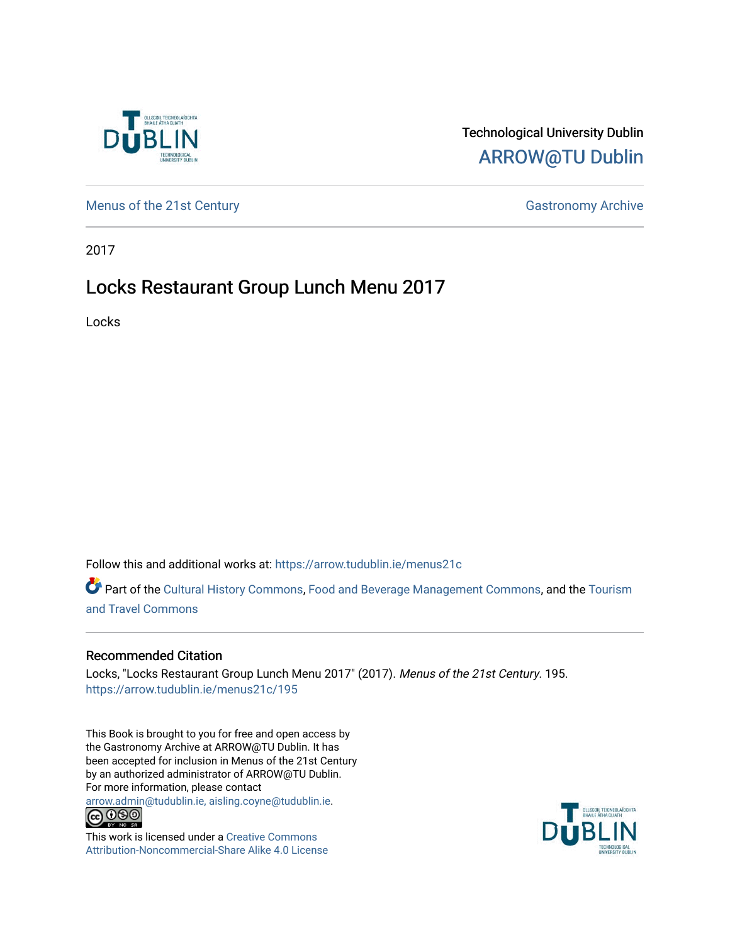

## Technological University Dublin [ARROW@TU Dublin](https://arrow.tudublin.ie/)

[Menus of the 21st Century](https://arrow.tudublin.ie/menus21c) Gastronomy Archive

2017

## Locks Restaurant Group Lunch Menu 2017

Locks

Follow this and additional works at: [https://arrow.tudublin.ie/menus21c](https://arrow.tudublin.ie/menus21c?utm_source=arrow.tudublin.ie%2Fmenus21c%2F195&utm_medium=PDF&utm_campaign=PDFCoverPages) 

Part of the [Cultural History Commons](http://network.bepress.com/hgg/discipline/496?utm_source=arrow.tudublin.ie%2Fmenus21c%2F195&utm_medium=PDF&utm_campaign=PDFCoverPages), [Food and Beverage Management Commons,](http://network.bepress.com/hgg/discipline/1089?utm_source=arrow.tudublin.ie%2Fmenus21c%2F195&utm_medium=PDF&utm_campaign=PDFCoverPages) and the [Tourism](http://network.bepress.com/hgg/discipline/1082?utm_source=arrow.tudublin.ie%2Fmenus21c%2F195&utm_medium=PDF&utm_campaign=PDFCoverPages) [and Travel Commons](http://network.bepress.com/hgg/discipline/1082?utm_source=arrow.tudublin.ie%2Fmenus21c%2F195&utm_medium=PDF&utm_campaign=PDFCoverPages)

### Recommended Citation

Locks, "Locks Restaurant Group Lunch Menu 2017" (2017). Menus of the 21st Century. 195. [https://arrow.tudublin.ie/menus21c/195](https://arrow.tudublin.ie/menus21c/195?utm_source=arrow.tudublin.ie%2Fmenus21c%2F195&utm_medium=PDF&utm_campaign=PDFCoverPages) 

This Book is brought to you for free and open access by the Gastronomy Archive at ARROW@TU Dublin. It has been accepted for inclusion in Menus of the 21st Century by an authorized administrator of ARROW@TU Dublin. For more information, please contact

[arrow.admin@tudublin.ie, aisling.coyne@tudublin.ie](mailto:arrow.admin@tudublin.ie,%20aisling.coyne@tudublin.ie).<br>
co 060



This work is licensed under a [Creative Commons](http://creativecommons.org/licenses/by-nc-sa/4.0/) [Attribution-Noncommercial-Share Alike 4.0 License](http://creativecommons.org/licenses/by-nc-sa/4.0/)

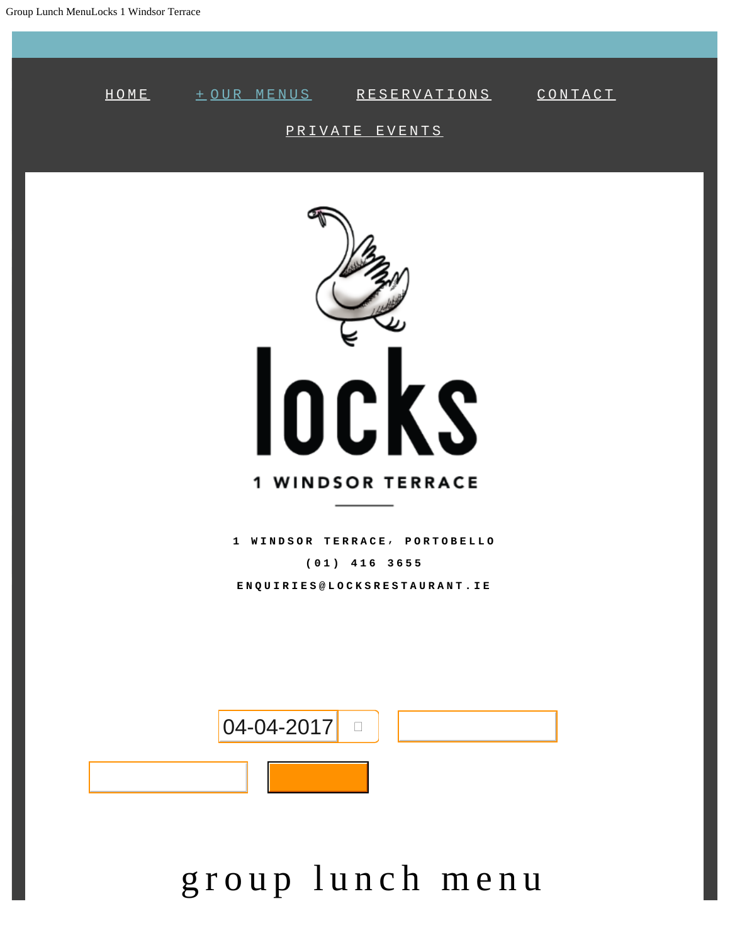

# group lunch menu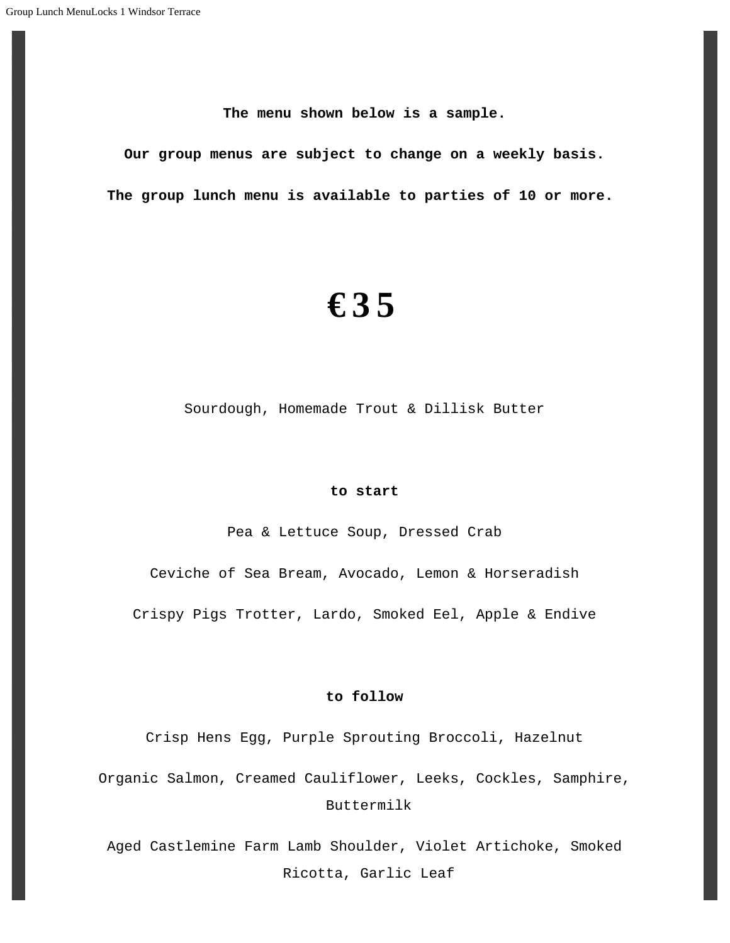**The menu shown below is a sample.**

**Our group menus are subject to change on a weekly basis. The group lunch menu is available to parties of 10 or more.**

## **€35**

Sourdough, Homemade Trout & Dillisk Butter

#### **to start**

Pea & Lettuce Soup, Dressed Crab

Ceviche of Sea Bream, Avocado, Lemon & Horseradish

Crispy Pigs Trotter, Lardo, Smoked Eel, Apple & Endive

#### **to follow**

Crisp Hens Egg, Purple Sprouting Broccoli, Hazelnut

Organic Salmon, Creamed Cauliflower, Leeks, Cockles, Samphire, Buttermilk

Aged Castlemine Farm Lamb Shoulder, Violet Artichoke, Smoked Ricotta, Garlic Leaf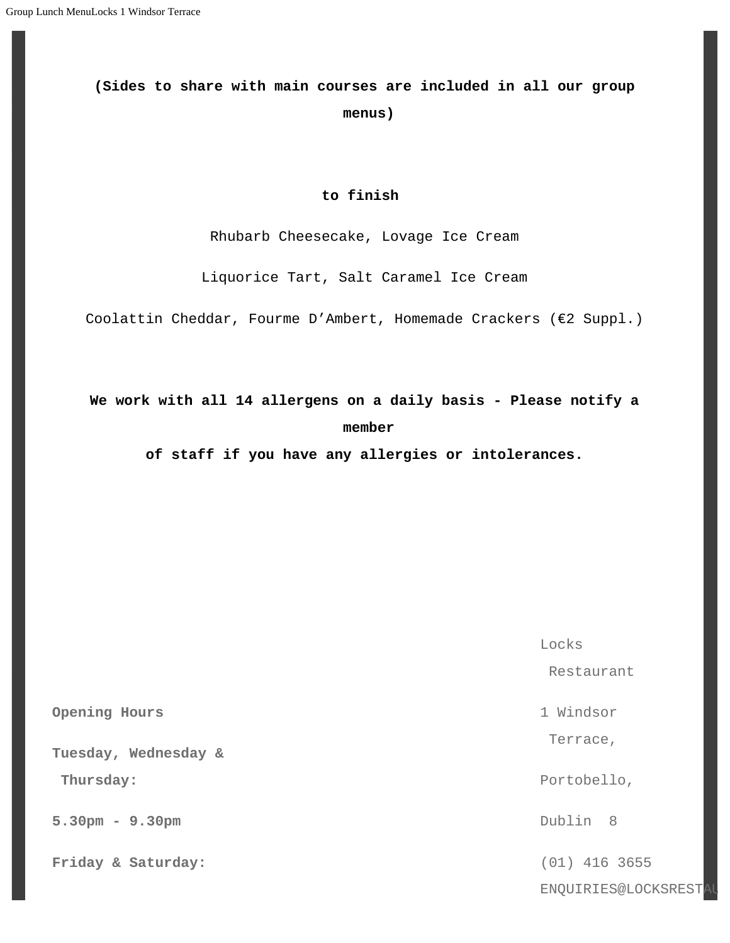## **(Sides to share with main courses are included in all our group menus)**

#### **to finish**

Rhubarb Cheesecake, Lovage Ice Cream

Liquorice Tart, Salt Caramel Ice Cream

Coolattin Cheddar, Fourme D'Ambert, Homemade Crackers (€2 Suppl.)

### **We work with all 14 allergens on a daily basis - Please notify a member**

**of staff if you have any allergies or intolerances.**

**Opening Hours**

**Tuesday, Wednesday &**

 **Thursday:**

**5.30pm - 9.30pm**

**Friday & Saturday:**

Locks Restaurant 1 Windsor Terrace, Portobello, Dublin 8 (01) 416 3655

ENQUIRIES@LOCKSREST